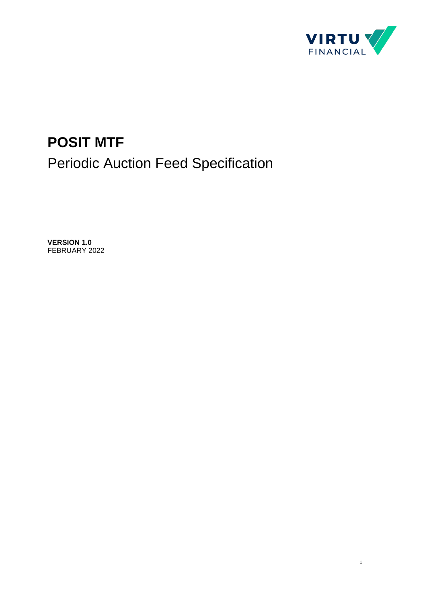

1

# **POSIT MTF** Periodic Auction Feed Specification

**VERSION 1.0** FEBRUARY 2022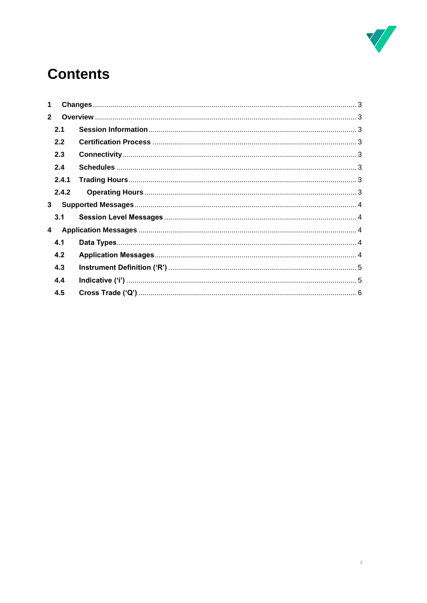

# **Contents**

| 1                       |  |
|-------------------------|--|
| $\overline{2}$          |  |
| 2.1                     |  |
| 2.2                     |  |
| 2.3                     |  |
| 2.4                     |  |
| 2.4.1                   |  |
| 2.4.2                   |  |
| $3^{\circ}$             |  |
| 3.1                     |  |
| $\overline{\mathbf{4}}$ |  |
| 4.1                     |  |
| 4.2                     |  |
| 4.3                     |  |
| 4.4                     |  |
| 4.5                     |  |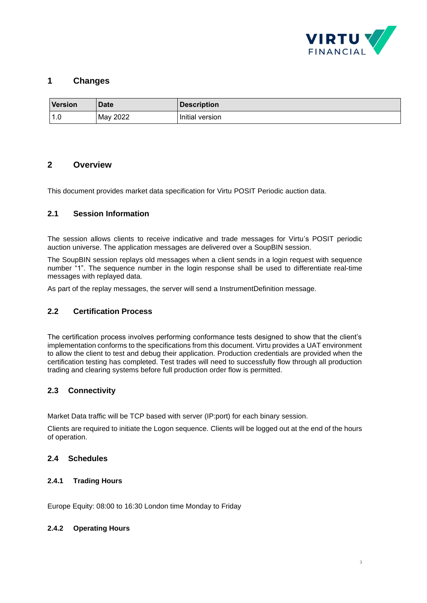

# <span id="page-2-0"></span>**1 Changes**

| <b>Version</b> | <b>Date</b> | <b>Description</b> |
|----------------|-------------|--------------------|
| 1.U            | May 2022    | Initial version    |

## <span id="page-2-1"></span>**2 Overview**

This document provides market data specification for Virtu POSIT Periodic auction data.

### <span id="page-2-2"></span>**2.1 Session Information**

The session allows clients to receive indicative and trade messages for Virtu's POSIT periodic auction universe. The application messages are delivered over a SoupBIN session.

The SoupBIN session replays old messages when a client sends in a login request with sequence number "1". The sequence number in the login response shall be used to differentiate real-time messages with replayed data.

As part of the replay messages, the server will send a InstrumentDefinition message.

### <span id="page-2-3"></span>**2.2 Certification Process**

The certification process involves performing conformance tests designed to show that the client's implementation conforms to the specifications from this document. Virtu provides a UAT environment to allow the client to test and debug their application. Production credentials are provided when the certification testing has completed. Test trades will need to successfully flow through all production trading and clearing systems before full production order flow is permitted.

## <span id="page-2-4"></span>**2.3 Connectivity**

Market Data traffic will be TCP based with server (IP:port) for each binary session.

Clients are required to initiate the Logon sequence. Clients will be logged out at the end of the hours of operation.

#### <span id="page-2-5"></span>**2.4 Schedules**

#### <span id="page-2-6"></span>**2.4.1 Trading Hours**

Europe Equity: 08:00 to 16:30 London time Monday to Friday

#### <span id="page-2-7"></span>**2.4.2 Operating Hours**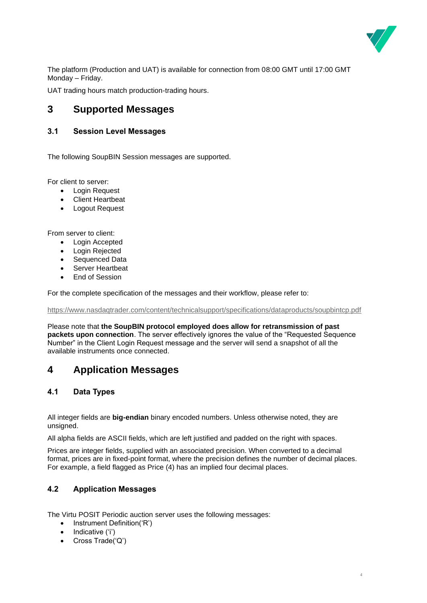

The platform (Production and UAT) is available for connection from 08:00 GMT until 17:00 GMT Monday – Friday.

<span id="page-3-0"></span>UAT trading hours match production-trading hours.

# **3 Supported Messages**

## <span id="page-3-1"></span>**3.1 Session Level Messages**

The following SoupBIN Session messages are supported.

For client to server:

- Login Request
- **Client Heartbeat**
- Logout Request

From server to client:

- Login Accepted
- Login Rejected
- Sequenced Data
- **Server Heartbeat**
- End of Session

For the complete specification of the messages and their workflow, please refer to:

<https://www.nasdaqtrader.com/content/technicalsupport/specifications/dataproducts/soupbintcp.pdf>

Please note that **the SoupBIN protocol employed does allow for retransmission of past packets upon connection**. The server effectively ignores the value of the "Requested Sequence Number" in the Client Login Request message and the server will send a snapshot of all the available instruments once connected.

# <span id="page-3-2"></span>**4 Application Messages**

### <span id="page-3-3"></span>**4.1 Data Types**

All integer fields are **big-endian** binary encoded numbers. Unless otherwise noted, they are unsigned.

All alpha fields are ASCII fields, which are left justified and padded on the right with spaces.

Prices are integer fields, supplied with an associated precision. When converted to a decimal format, prices are in fixed-point format, where the precision defines the number of decimal places. For example, a field flagged as Price (4) has an implied four decimal places.

### <span id="page-3-4"></span>**4.2 Application Messages**

The Virtu POSIT Periodic auction server uses the following messages:

- Instrument Definition('R')
- Indicative ('i')
- Cross Trade('Q')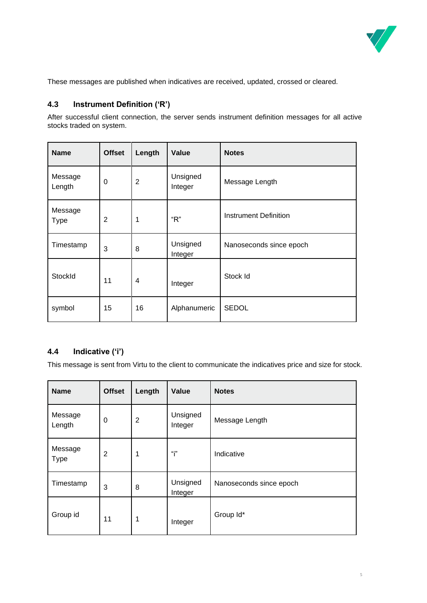

These messages are published when indicatives are received, updated, crossed or cleared.

## <span id="page-4-0"></span>**4.3 Instrument Definition ('R')**

After successful client connection, the server sends instrument definition messages for all active stocks traded on system.

| <b>Name</b>            | <b>Offset</b> | Length         | Value               | <b>Notes</b>            |
|------------------------|---------------|----------------|---------------------|-------------------------|
| Message<br>Length      | 0             | $\overline{2}$ | Unsigned<br>Integer | Message Length          |
| Message<br><b>Type</b> | 2             | 1              | "R"                 | Instrument Definition   |
| Timestamp              | 3             | 8              | Unsigned<br>Integer | Nanoseconds since epoch |
| StockId                | 11            | 4              | Integer             | Stock Id                |
| symbol                 | 15            | 16             | Alphanumeric        | <b>SEDOL</b>            |

### <span id="page-4-1"></span>**4.4 Indicative ('i')**

This message is sent from Virtu to the client to communicate the indicatives price and size for stock.

| <b>Name</b>            | <b>Offset</b> | Length         | Value               | <b>Notes</b>            |
|------------------------|---------------|----------------|---------------------|-------------------------|
| Message<br>Length      | 0             | $\overline{2}$ | Unsigned<br>Integer | Message Length          |
| Message<br><b>Type</b> | 2             | 1              | "i"                 | Indicative              |
| Timestamp              | 3             | 8              | Unsigned<br>Integer | Nanoseconds since epoch |
| Group id               | 11            | 1              | Integer             | Group Id*               |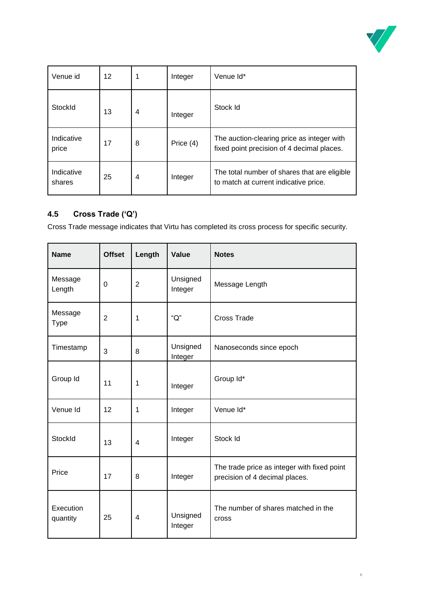

| Venue id             | 12 | 1              | Integer   | Venue Id*                                                                                |
|----------------------|----|----------------|-----------|------------------------------------------------------------------------------------------|
| StockId              | 13 | $\overline{4}$ | Integer   | Stock Id                                                                                 |
| Indicative<br>price  | 17 | 8              | Price (4) | The auction-clearing price as integer with<br>fixed point precision of 4 decimal places. |
| Indicative<br>shares | 25 | $\overline{4}$ | Integer   | The total number of shares that are eligible<br>to match at current indicative price.    |

# <span id="page-5-0"></span>**4.5 Cross Trade ('Q')**

Cross Trade message indicates that Virtu has completed its cross process for specific security.

| <b>Name</b>            | <b>Offset</b>  | Length         | Value               | <b>Notes</b>                                                                  |
|------------------------|----------------|----------------|---------------------|-------------------------------------------------------------------------------|
| Message<br>Length      | 0              | $\overline{2}$ | Unsigned<br>Integer | Message Length                                                                |
| Message<br><b>Type</b> | $\overline{2}$ | 1              | " $Q$ "             | Cross Trade                                                                   |
| Timestamp              | 3              | 8              | Unsigned<br>Integer | Nanoseconds since epoch                                                       |
| Group Id               | 11             | 1              | Integer             | Group Id*                                                                     |
| Venue Id               | 12             | 1              | Integer             | Venue Id*                                                                     |
| StockId                | 13             | $\overline{4}$ | Integer             | Stock Id                                                                      |
| Price                  | 17             | 8              | Integer             | The trade price as integer with fixed point<br>precision of 4 decimal places. |
| Execution<br>quantity  | 25             | $\overline{4}$ | Unsigned<br>Integer | The number of shares matched in the<br>cross                                  |